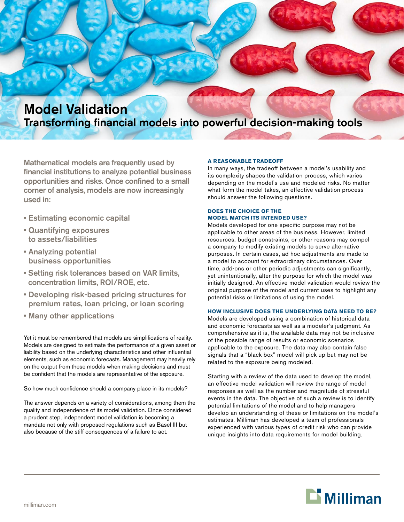

# Transforming financial models into powerful decision-making tools

Mathematical models are frequently used by financial institutions to analyze potential business opportunities and risks. Once confined to a small corner of analysis, models are now increasingly used in:

- Estimating economic capital
- Quantifying exposures to assets/liabilities
- Analyzing potential business opportunities
- Setting risk tolerances based on VAR limits, concentration limits, ROI/ROE, etc.
- Developing risk-based pricing structures for premium rates, loan pricing, or loan scoring
- Many other applications

Yet it must be remembered that models are simplifications of reality. Models are designed to estimate the performance of a given asset or liability based on the underlying characteristics and other influential elements, such as economic forecasts. Management may heavily rely on the output from these models when making decisions and must be confident that the models are representative of the exposure.

So how much confidence should a company place in its models?

The answer depends on a variety of considerations, among them the quality and independence of its model validation. Once considered a prudent step, independent model validation is becoming a mandate not only with proposed regulations such as Basel III but also because of the stiff consequences of a failure to act.

# **A reasonable tradeoff**

In many ways, the tradeoff between a model's usability and its complexity shapes the validation process, which varies depending on the model's use and modeled risks. No matter what form the model takes, an effective validation process should answer the following questions.

# **Does the choice of the model match its intended use?**

Models developed for one specific purpose may not be applicable to other areas of the business. However, limited resources, budget constraints, or other reasons may compel a company to modify existing models to serve alternative purposes. In certain cases, ad hoc adjustments are made to a model to account for extraordinary circumstances. Over time, add-ons or other periodic adjustments can significantly, yet unintentionally, alter the purpose for which the model was initially designed. An effective model validation would review the original purpose of the model and current uses to highlight any potential risks or limitations of using the model.

# **How inclusive does the underlying data need to be?**

Models are developed using a combination of historical data and economic forecasts as well as a modeler's judgment. As comprehensive as it is, the available data may not be inclusive of the possible range of results or economic scenarios applicable to the exposure. The data may also contain false signals that a "black box" model will pick up but may not be related to the exposure being modeled.

Starting with a review of the data used to develop the model, an effective model validation will review the range of model responses as well as the number and magnitude of stressful events in the data. The objective of such a review is to identify potential limitations of the model and to help managers develop an understanding of these or limitations on the model's estimates. Milliman has developed a team of professionals experienced with various types of credit risk who can provide unique insights into data requirements for model building.